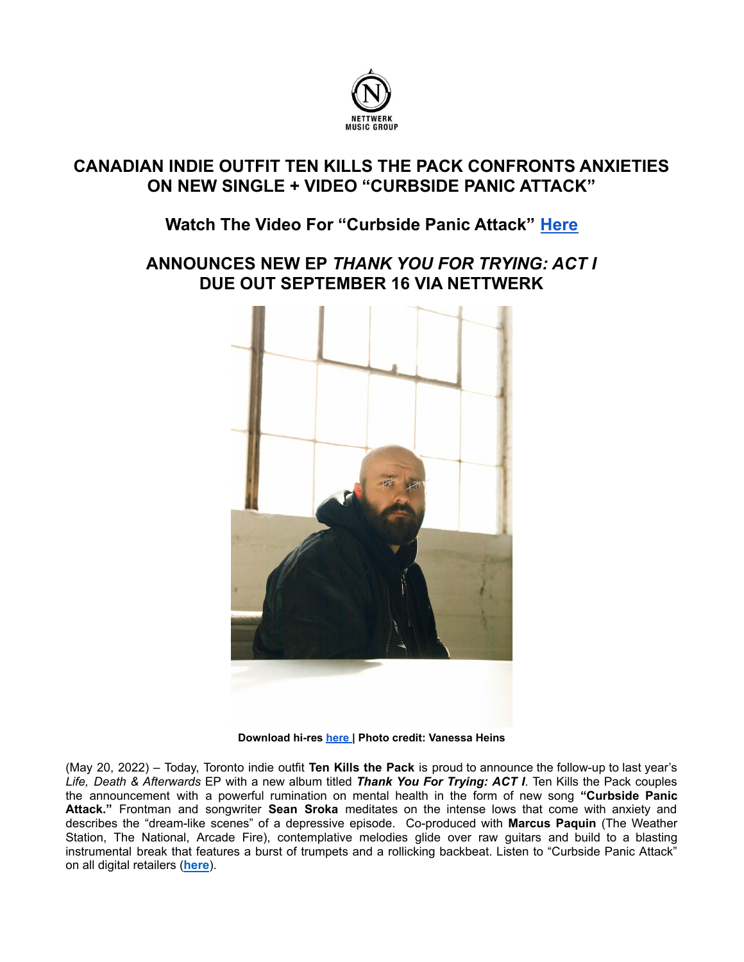

# **CANADIAN INDIE OUTFIT TEN KILLS THE PACK CONFRONTS ANXIETIES ON NEW SINGLE + VIDEO "CURBSIDE PANIC ATTACK"**

## **Watch The Video For "Curbside Panic Attack" [Here](https://youtu.be/ti8vYYZsWhQ)**

## **ANNOUNCES NEW EP** *THANK YOU FOR TRYING: ACT I* **DUE OUT SEPTEMBER 16 VIA NETTWERK**



**Download hi-res [here](https://www.dropbox.com/s/79byrl3ecfdlkqf/Ten%20Kills%20the%20Pack%20%28credit_%20Vanessa%20Heins%29.jpg?dl=0) | Photo credit: Vanessa Heins**

(May 20, 2022) – Today, Toronto indie outfit **Ten Kills the Pack** is proud to announce the follow-up to last year's *Life, Death & Afterwards* EP with a new album titled *Thank You For Trying: ACT I*. Ten Kills the Pack couples the announcement with a powerful rumination on mental health in the form of new song **"Curbside Panic Attack."** Frontman and songwriter **Sean Sroka** meditates on the intense lows that come with anxiety and describes the "dream-like scenes" of a depressive episode. Co-produced with **Marcus Paquin** (The Weather Station, The National, Arcade Fire), contemplative melodies glide over raw guitars and build to a blasting instrumental break that features a burst of trumpets and a rollicking backbeat. Listen to "Curbside Panic Attack" on all digital retailers (**[here](https://tenkillsthepack.ffm.to/curbsidepanicattack)**).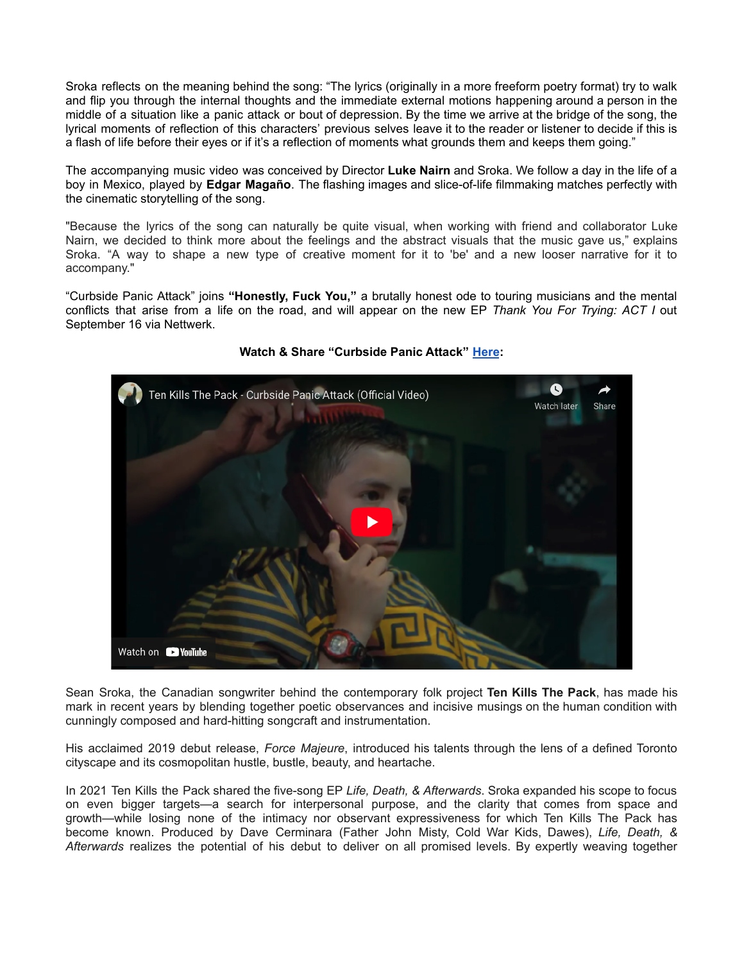Sroka reflects on the meaning behind the song: "The lyrics (originally in a more freeform poetry format) try to walk and flip you through the internal thoughts and the immediate external motions happening around a person in the middle of a situation like a panic attack or bout of depression. By the time we arrive at the bridge of the song, the lyrical moments of reflection of this characters' previous selves leave it to the reader or listener to decide if this is a flash of life before their eyes or if it's a reflection of moments what grounds them and keeps them going."

The accompanying music video was conceived by Director **Luke Nairn** and Sroka. We follow a day in the life of a boy in Mexico, played by **Edgar Magaño**. The flashing images and slice-of-life filmmaking matches perfectly with the cinematic storytelling of the song.

"Because the lyrics of the song can naturally be quite visual, when working with friend and collaborator Luke Nairn, we decided to think more about the feelings and the abstract visuals that the music gave us," explains Sroka. "A way to shape a new type of creative moment for it to 'be' and a new looser narrative for it to accompany."

"Curbside Panic Attack" joins **"Honestly, Fuck You,"** a brutally honest ode to touring musicians and the mental conflicts that arise from a life on the road, and will appear on the new EP *Thank You For Trying: ACT I* out September 16 via Nettwerk.



#### **Watch & Share "Curbside Panic Attack" [Here](https://youtu.be/ti8vYYZsWhQ):**

Sean Sroka, the Canadian songwriter behind the contemporary folk project **Ten Kills The Pack**, has made his mark in recent years by blending together poetic observances and incisive musings on the human condition with cunningly composed and hard-hitting songcraft and instrumentation.

His acclaimed 2019 debut release, *Force Majeure*, introduced his talents through the lens of a defined Toronto cityscape and its cosmopolitan hustle, bustle, beauty, and heartache.

In 2021 Ten Kills the Pack shared the five-song EP *Life, Death, & Afterwards*. Sroka expanded his scope to focus on even bigger targets—a search for interpersonal purpose, and the clarity that comes from space and growth—while losing none of the intimacy nor observant expressiveness for which Ten Kills The Pack has become known. Produced by Dave Cerminara (Father John Misty, Cold War Kids, Dawes), *Life, Death, & Afterwards* realizes the potential of his debut to deliver on all promised levels. By expertly weaving together